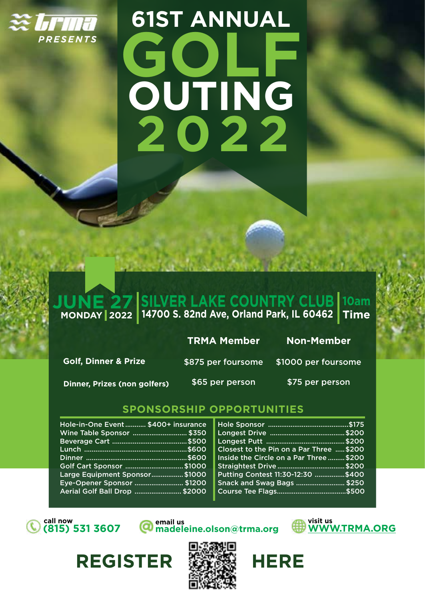

# **61ST ANNUAL GOLF 2022 OUTING**

#### **JUNE 27 MONDAY 2022 SILVER LAKE COUNTRY CLUB 14700 S. 82nd Ave, Orland Park, IL 60462 10am Time**

#### **TRMA Member Non-Member**

Golf, Dinner & Prize **\$875 per foursome** \$1000 per foursome

**Dinner, Prizes (non golfers) \$65 per person \$75 per person** 

### **SPONSORSHIP OPPORTUNITIES**

| Wine Table Sponsor  \$350                                  |                                          |
|------------------------------------------------------------|------------------------------------------|
|                                                            | Closest to the Pin on a Par Three  \$200 |
|                                                            | Inside the Circle on a Par Three  \$200  |
|                                                            | Straightest Drive \$200                  |
| Golf Cart Sponsor  \$1000                                  | Putting Contest 11:30-12:30 \$400        |
| Large Equipment Sponsor\$1000                              | <b>Snack and Swag Bags  \$250</b>        |
| Eye-Opener Sponsor  \$1200<br>Aerial Golf Ball Drop \$2000 |                                          |

REGISTER **缓缓。HERE** 

**(815) 531 3607**

**call now email us email us visit us** *Alla* **visit us madeleine.olson@trma.org**